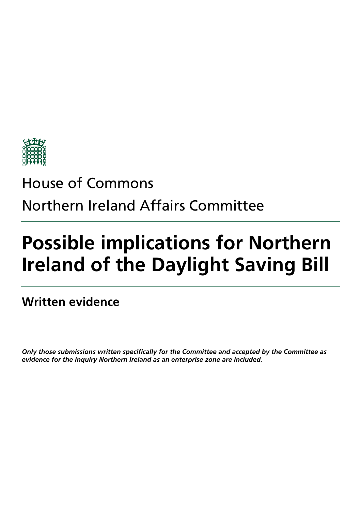

## House of Commons Northern Ireland Affairs Committee

# **Possible implications for Northern Ireland of the Daylight Saving Bill**

**Written evidence** 

*Only those submissions written specifically for the Committee and accepted by the Committee as evidence for the inquiry Northern Ireland as an enterprise zone are included.*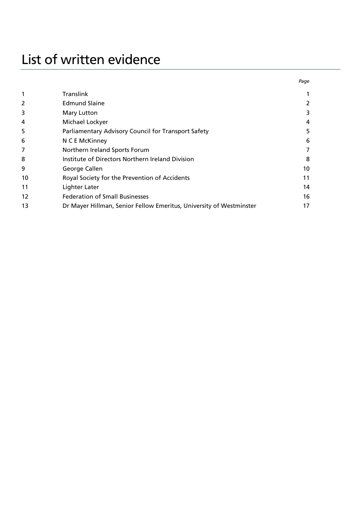### List of written evidence

|    |                                                                     | Page |
|----|---------------------------------------------------------------------|------|
| 1  | <b>Translink</b>                                                    |      |
| 2  | <b>Edmund Slaine</b>                                                | 2    |
| 3  | Mary Lutton                                                         | 3    |
| 4  | Michael Lockyer                                                     | 4    |
| 5  | Parliamentary Advisory Council for Transport Safety                 | 5    |
| 6  | N C E McKinney                                                      | 6    |
| 7  | Northern Ireland Sports Forum                                       | 7    |
| 8  | Institute of Directors Northern Ireland Division                    | 8    |
| 9  | George Callen                                                       | 10   |
| 10 | Royal Society for the Prevention of Accidents                       | 11   |
| 11 | Lighter Later                                                       | 14   |
| 12 | <b>Federation of Small Businesses</b>                               | 16   |
| 13 | Dr Mayer Hillman, Senior Fellow Emeritus, University of Westminster | 17   |
|    |                                                                     |      |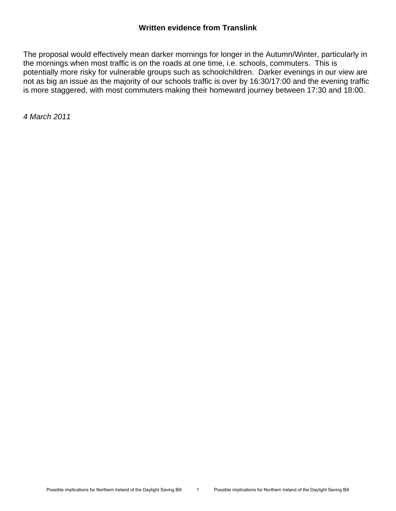#### **Written evidence from Translink**

The proposal would effectively mean darker mornings for longer in the Autumn/Winter, particularly in the mornings when most traffic is on the roads at one time, i.e. schools, commuters. This is potentially more risky for vulnerable groups such as schoolchildren. Darker evenings in our view are not as big an issue as the majority of our schools traffic is over by 16:30/17:00 and the evening traffic is more staggered, with most commuters making their homeward journey between 17:30 and 18:00.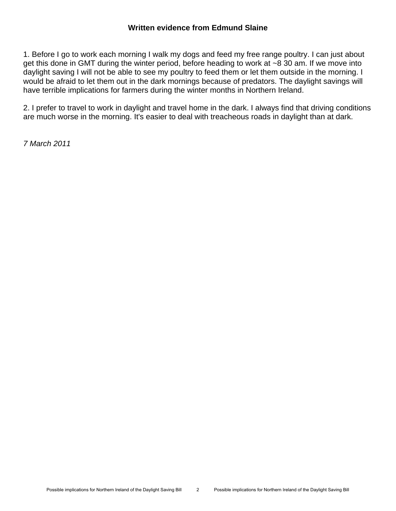1. Before I go to work each morning I walk my dogs and feed my free range poultry. I can just about get this done in GMT during the winter period, before heading to work at ~8 30 am. If we move into daylight saving I will not be able to see my poultry to feed them or let them outside in the morning. I would be afraid to let them out in the dark mornings because of predators. The daylight savings will have terrible implications for farmers during the winter months in Northern Ireland.

2. I prefer to travel to work in daylight and travel home in the dark. I always find that driving conditions are much worse in the morning. It's easier to deal with treacheous roads in daylight than at dark.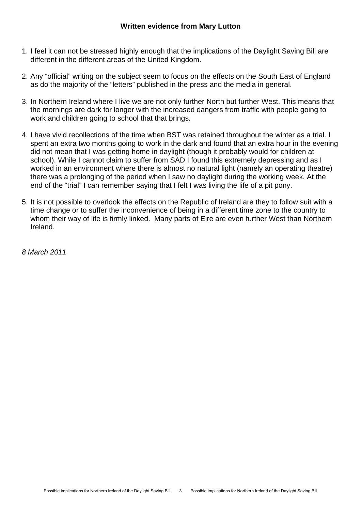- 1. I feel it can not be stressed highly enough that the implications of the Daylight Saving Bill are different in the different areas of the United Kingdom.
- 2. Any "official" writing on the subject seem to focus on the effects on the South East of England as do the majority of the "letters" published in the press and the media in general.
- 3. In Northern Ireland where I live we are not only further North but further West. This means that the mornings are dark for longer with the increased dangers from traffic with people going to work and children going to school that that brings.
- 4. I have vivid recollections of the time when BST was retained throughout the winter as a trial. I spent an extra two months going to work in the dark and found that an extra hour in the evening did not mean that I was getting home in daylight (though it probably would for children at school). While I cannot claim to suffer from SAD I found this extremely depressing and as I worked in an environment where there is almost no natural light (namely an operating theatre) there was a prolonging of the period when I saw no daylight during the working week. At the end of the "trial" I can remember saying that I felt I was living the life of a pit pony.
- 5. It is not possible to overlook the effects on the Republic of Ireland are they to follow suit with a time change or to suffer the inconvenience of being in a different time zone to the country to whom their way of life is firmly linked. Many parts of Eire are even further West than Northern Ireland.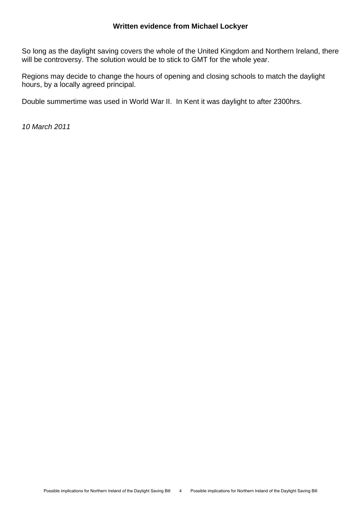So long as the daylight saving covers the whole of the United Kingdom and Northern Ireland, there will be controversy. The solution would be to stick to GMT for the whole year.

Regions may decide to change the hours of opening and closing schools to match the daylight hours, by a locally agreed principal.

Double summertime was used in World War II. In Kent it was daylight to after 2300hrs.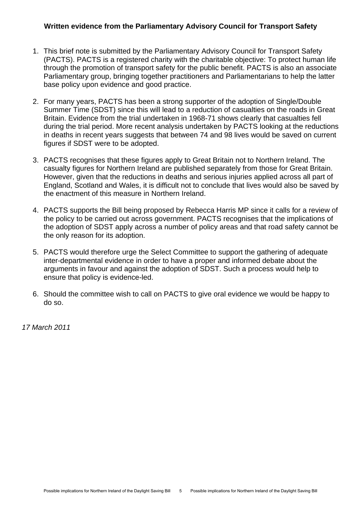#### **Written evidence from the Parliamentary Advisory Council for Transport Safety**

- 1. This brief note is submitted by the Parliamentary Advisory Council for Transport Safety (PACTS). PACTS is a registered charity with the charitable objective: To protect human life through the promotion of transport safety for the public benefit. PACTS is also an associate Parliamentary group, bringing together practitioners and Parliamentarians to help the latter base policy upon evidence and good practice.
- 2. For many years, PACTS has been a strong supporter of the adoption of Single/Double Summer Time (SDST) since this will lead to a reduction of casualties on the roads in Great Britain. Evidence from the trial undertaken in 1968-71 shows clearly that casualties fell during the trial period. More recent analysis undertaken by PACTS looking at the reductions in deaths in recent years suggests that between 74 and 98 lives would be saved on current figures if SDST were to be adopted.
- 3. PACTS recognises that these figures apply to Great Britain not to Northern Ireland. The casualty figures for Northern Ireland are published separately from those for Great Britain. However, given that the reductions in deaths and serious injuries applied across all part of England, Scotland and Wales, it is difficult not to conclude that lives would also be saved by the enactment of this measure in Northern Ireland.
- 4. PACTS supports the Bill being proposed by Rebecca Harris MP since it calls for a review of the policy to be carried out across government. PACTS recognises that the implications of the adoption of SDST apply across a number of policy areas and that road safety cannot be the only reason for its adoption.
- 5. PACTS would therefore urge the Select Committee to support the gathering of adequate inter-departmental evidence in order to have a proper and informed debate about the arguments in favour and against the adoption of SDST. Such a process would help to ensure that policy is evidence-led.
- 6. Should the committee wish to call on PACTS to give oral evidence we would be happy to do so.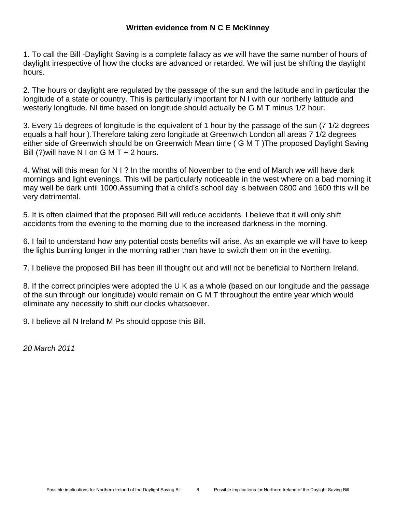#### **Written evidence from N C E McKinney**

1. To call the Bill -Daylight Saving is a complete fallacy as we will have the same number of hours of daylight irrespective of how the clocks are advanced or retarded. We will just be shifting the daylight hours.

2. The hours or daylight are regulated by the passage of the sun and the latitude and in particular the longitude of a state or country. This is particularly important for N I with our northerly latitude and westerly longitude. NI time based on longitude should actually be G M T minus 1/2 hour.

3. Every 15 degrees of longitude is the equivalent of 1 hour by the passage of the sun (7 1/2 degrees equals a half hour ).Therefore taking zero longitude at Greenwich London all areas 7 1/2 degrees either side of Greenwich should be on Greenwich Mean time ( G M T )The proposed Daylight Saving Bill  $(?)$  will have N I on G M T + 2 hours.

4. What will this mean for N I ? In the months of November to the end of March we will have dark mornings and light evenings. This will be particularly noticeable in the west where on a bad morning it may well be dark until 1000.Assuming that a child's school day is between 0800 and 1600 this will be very detrimental.

5. It is often claimed that the proposed Bill will reduce accidents. I believe that it will only shift accidents from the evening to the morning due to the increased darkness in the morning.

6. I fail to understand how any potential costs benefits will arise. As an example we will have to keep the lights burning longer in the morning rather than have to switch them on in the evening.

7. I believe the proposed Bill has been ill thought out and will not be beneficial to Northern Ireland.

8. If the correct principles were adopted the U K as a whole (based on our longitude and the passage of the sun through our longitude) would remain on G M T throughout the entire year which would eliminate any necessity to shift our clocks whatsoever.

9. I believe all N Ireland M Ps should oppose this Bill.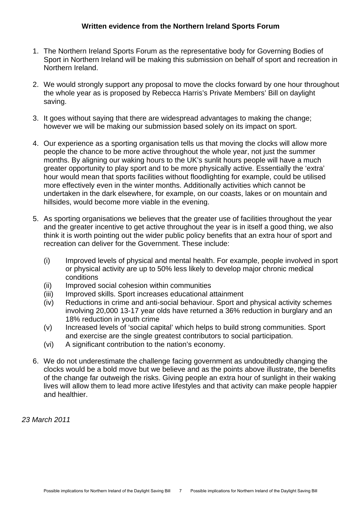- 1. The Northern Ireland Sports Forum as the representative body for Governing Bodies of Sport in Northern Ireland will be making this submission on behalf of sport and recreation in Northern Ireland.
- 2. We would strongly support any proposal to move the clocks forward by one hour throughout the whole year as is proposed by Rebecca Harris's Private Members' Bill on daylight saving.
- 3. It goes without saying that there are widespread advantages to making the change; however we will be making our submission based solely on its impact on sport.
- 4. Our experience as a sporting organisation tells us that moving the clocks will allow more people the chance to be more active throughout the whole year, not just the summer months. By aligning our waking hours to the UK's sunlit hours people will have a much greater opportunity to play sport and to be more physically active. Essentially the 'extra' hour would mean that sports facilities without floodlighting for example, could be utilised more effectively even in the winter months. Additionally activities which cannot be undertaken in the dark elsewhere, for example, on our coasts, lakes or on mountain and hillsides, would become more viable in the evening.
- 5. As sporting organisations we believes that the greater use of facilities throughout the year and the greater incentive to get active throughout the year is in itself a good thing, we also think it is worth pointing out the wider public policy benefits that an extra hour of sport and recreation can deliver for the Government. These include:
	- (i) Improved levels of physical and mental health. For example, people involved in sport or physical activity are up to 50% less likely to develop major chronic medical conditions
	- (ii) Improved social cohesion within communities
	- (iii) Improved skills. Sport increases educational attainment
	- (iv) Reductions in crime and anti-social behaviour. Sport and physical activity schemes involving 20,000 13-17 year olds have returned a 36% reduction in burglary and an 18% reduction in youth crime
	- (v) Increased levels of 'social capital' which helps to build strong communities. Sport and exercise are the single greatest contributors to social participation.
	- (vi) A significant contribution to the nation's economy.
- 6. We do not underestimate the challenge facing government as undoubtedly changing the clocks would be a bold move but we believe and as the points above illustrate, the benefits of the change far outweigh the risks. Giving people an extra hour of sunlight in their waking lives will allow them to lead more active lifestyles and that activity can make people happier and healthier.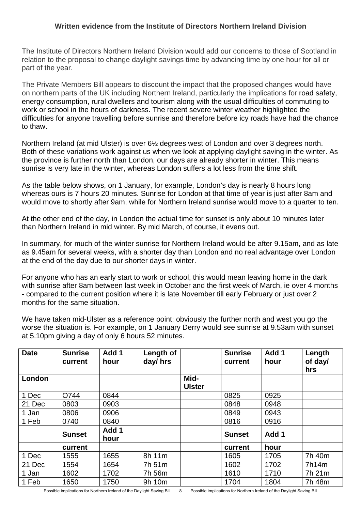#### **Written evidence from the Institute of Directors Northern Ireland Division**

The Institute of Directors Northern Ireland Division would add our concerns to those of Scotland in relation to the proposal to change daylight savings time by advancing time by one hour for all or part of the year.

The Private Members Bill appears to discount the impact that the proposed changes would have on northern parts of the UK including Northern Ireland, particularly the implications for road safety, energy consumption, rural dwellers and tourism along with the usual difficulties of commuting to work or school in the hours of darkness. The recent severe winter weather highlighted the difficulties for anyone travelling before sunrise and therefore before icy roads have had the chance to thaw.

Northern Ireland (at mid Ulster) is over 6½ degrees west of London and over 3 degrees north. Both of these variations work against us when we look at applying daylight saving in the winter. As the province is further north than London, our days are already shorter in winter. This means sunrise is very late in the winter, whereas London suffers a lot less from the time shift.

As the table below shows, on 1 January, for example, London's day is nearly 8 hours long whereas ours is 7 hours 20 minutes. Sunrise for London at that time of year is just after 8am and would move to shortly after 9am, while for Northern Ireland sunrise would move to a quarter to ten.

At the other end of the day, in London the actual time for sunset is only about 10 minutes later than Northern Ireland in mid winter. By mid March, of course, it evens out.

In summary, for much of the winter sunrise for Northern Ireland would be after 9.15am, and as late as 9.45am for several weeks, with a shorter day than London and no real advantage over London at the end of the day due to our shorter days in winter.

For anyone who has an early start to work or school, this would mean leaving home in the dark with sunrise after 8am between last week in October and the first week of March, ie over 4 months - compared to the current position where it is late November till early February or just over 2 months for the same situation.

We have taken mid-Ulster as a reference point; obviously the further north and west you go the worse the situation is. For example, on 1 January Derry would see sunrise at 9.53am with sunset at 5.10pm giving a day of only 6 hours 52 minutes.

| <b>Date</b> | <b>Sunrise</b><br>current | Add 1<br>hour | Length of<br>day/hrs |                       | <b>Sunrise</b><br>current | Add 1<br>hour | Length<br>of day/<br>hrs |
|-------------|---------------------------|---------------|----------------------|-----------------------|---------------------------|---------------|--------------------------|
| London      |                           |               |                      | Mid-<br><b>Ulster</b> |                           |               |                          |
| 1 Dec       | O744                      | 0844          |                      |                       | 0825                      | 0925          |                          |
| 21 Dec      | 0803                      | 0903          |                      |                       | 0848                      | 0948          |                          |
| 1 Jan       | 0806                      | 0906          |                      |                       | 0849                      | 0943          |                          |
| 1 Feb       | 0740                      | 0840          |                      |                       | 0816                      | 0916          |                          |
|             | <b>Sunset</b>             | Add 1<br>hour |                      |                       | <b>Sunset</b>             | Add 1         |                          |
|             | current                   |               |                      |                       | current                   | hour          |                          |
| 1 Dec       | 1555                      | 1655          | 8h 11m               |                       | 1605                      | 1705          | 7h 40m                   |
| 21 Dec      | 1554                      | 1654          | 7h 51m               |                       | 1602                      | 1702          | 7h14m                    |
| 1 Jan       | 1602                      | 1702          | 7h 56m               |                       | 1610                      | 1710          | 7h 21m                   |
| 1 Feb       | 1650                      | 1750          | 9h 10m               |                       | 1704                      | 1804          | 7h 48m                   |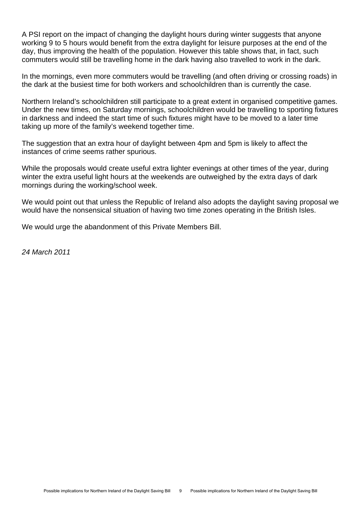A PSI report on the impact of changing the daylight hours during winter suggests that anyone working 9 to 5 hours would benefit from the extra daylight for leisure purposes at the end of the day, thus improving the health of the population. However this table shows that, in fact, such commuters would still be travelling home in the dark having also travelled to work in the dark.

In the mornings, even more commuters would be travelling (and often driving or crossing roads) in the dark at the busiest time for both workers and schoolchildren than is currently the case.

Northern Ireland's schoolchildren still participate to a great extent in organised competitive games. Under the new times, on Saturday mornings, schoolchildren would be travelling to sporting fixtures in darkness and indeed the start time of such fixtures might have to be moved to a later time taking up more of the family's weekend together time.

The suggestion that an extra hour of daylight between 4pm and 5pm is likely to affect the instances of crime seems rather spurious.

While the proposals would create useful extra lighter evenings at other times of the year, during winter the extra useful light hours at the weekends are outweighed by the extra days of dark mornings during the working/school week.

We would point out that unless the Republic of Ireland also adopts the daylight saving proposal we would have the nonsensical situation of having two time zones operating in the British Isles.

We would urge the abandonment of this Private Members Bill.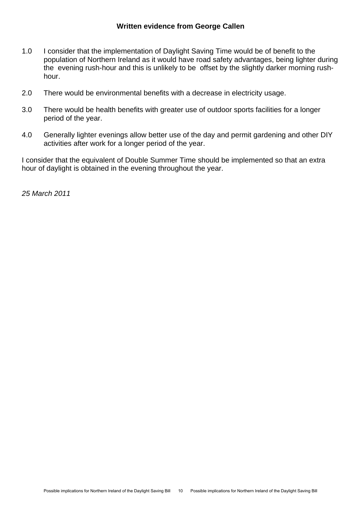- 1.0 I consider that the implementation of Daylight Saving Time would be of benefit to the population of Northern Ireland as it would have road safety advantages, being lighter during the evening rush-hour and this is unlikely to be offset by the slightly darker morning rushhour.
- 2.0 There would be environmental benefits with a decrease in electricity usage.
- 3.0 There would be health benefits with greater use of outdoor sports facilities for a longer period of the year.
- 4.0 Generally lighter evenings allow better use of the day and permit gardening and other DIY activities after work for a longer period of the year.

I consider that the equivalent of Double Summer Time should be implemented so that an extra hour of daylight is obtained in the evening throughout the year.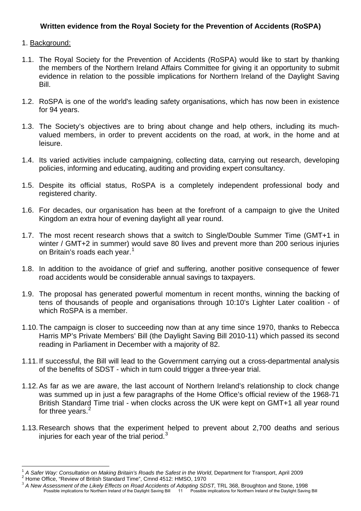#### **Written evidence from the Royal Society for the Prevention of Accidents (RoSPA)**

#### 1. Background:

 $\overline{a}$ 

- 1.1. The Royal Society for the Prevention of Accidents (RoSPA) would like to start by thanking the members of the Northern Ireland Affairs Committee for giving it an opportunity to submit evidence in relation to the possible implications for Northern Ireland of the Daylight Saving Bill.
- 1.2. RoSPA is one of the world's leading safety organisations, which has now been in existence for 94 years.
- 1.3. The Society's objectives are to bring about change and help others, including its muchvalued members, in order to prevent accidents on the road, at work, in the home and at leisure.
- 1.4. Its varied activities include campaigning, collecting data, carrying out research, developing policies, informing and educating, auditing and providing expert consultancy.
- 1.5. Despite its official status, RoSPA is a completely independent professional body and registered charity.
- 1.6. For decades, our organisation has been at the forefront of a campaign to give the United Kingdom an extra hour of evening daylight all year round.
- 1.7. The most recent research shows that a switch to Single/Double Summer Time (GMT+1 in winter / GMT+2 in summer) would save 80 lives and prevent more than 200 serious injuries on Britain's roads each year.<sup>1</sup>
- 1.8. In addition to the avoidance of grief and suffering, another positive consequence of fewer road accidents would be considerable annual savings to taxpayers.
- 1.9. The proposal has generated powerful momentum in recent months, winning the backing of tens of thousands of people and organisations through 10:10's Lighter Later coalition - of which RoSPA is a member.
- 1.10. The campaign is closer to succeeding now than at any time since 1970, thanks to Rebecca Harris MP's Private Members' Bill (the Daylight Saving Bill 2010-11) which passed its second reading in Parliament in December with a majority of 82.
- 1.11. If successful, the Bill will lead to the Government carrying out a cross-departmental analysis of the benefits of SDST - which in turn could trigger a three-year trial.
- 1.12. As far as we are aware, the last account of Northern Ireland's relationship to clock change was summed up in just a few paragraphs of the Home Office's official review of the 1968-71 British Standard Time trial - when clocks across the UK were kept on GMT+1 all year round for three years.<sup>[2](#page-13-1)</sup>
- 1.13. Research shows that the experiment helped to prevent about 2,700 deaths and serious injuries for each year of the trial period. $3$

<span id="page-13-1"></span><span id="page-13-0"></span><sup>&</sup>lt;sup>1</sup> A Safer Way: Consultation on Making Britain's Roads the Safest in the World, Department for Transport, April 2009<br><sup>2</sup> Home Office, "Review of British Standard Time", Cmnd 4512: HMSO, 1970

<span id="page-13-2"></span>Home Of Aristish Standard Standard Standard Time Of Adopting SDST, TRL 368, Broughton and Stone, 1998<br>Possible implications for Northern Ireland of the Davlight Saving Bill<br>Possible implications for Northern Ireland of the Possible implications for Northern Ireland of the Daylight Saving Bill 11 Possible implications for Northern Ireland of the Daylight Saving Bill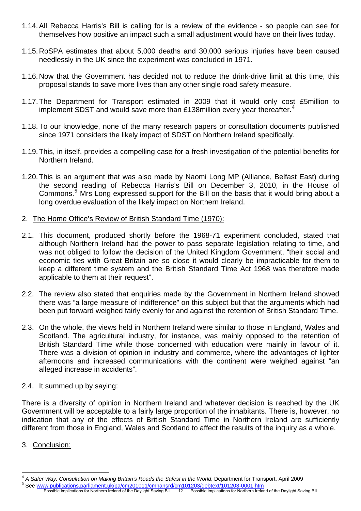- 1.14. All Rebecca Harris's Bill is calling for is a review of the evidence so people can see for themselves how positive an impact such a small adjustment would have on their lives today.
- 1.15. RoSPA estimates that about 5,000 deaths and 30,000 serious injuries have been caused needlessly in the UK since the experiment was concluded in 1971.
- 1.16. Now that the Government has decided not to reduce the drink-drive limit at this time, this proposal stands to save more lives than any other single road safety measure.
- 1.17. The Department for Transport estimated in 2009 that it would only cost £5million to implement SDST and would save more than £138million every vear thereafter.<sup>[4](#page-14-0)</sup>
- 1.18. To our knowledge, none of the many research papers or consultation documents published since 1971 considers the likely impact of SDST on Northern Ireland specifically.
- 1.19. This, in itself, provides a compelling case for a fresh investigation of the potential benefits for Northern Ireland.
- 1.20. This is an argument that was also made by Naomi Long MP (Alliance, Belfast East) during the second reading of Rebecca Harris's Bill on December 3, 2010, in the House of Commons.<sup>[5](#page-14-1)</sup> Mrs Long expressed support for the Bill on the basis that it would bring about a long overdue evaluation of the likely impact on Northern Ireland.
- 2. The Home Office's Review of British Standard Time (1970):
- 2.1. This document, produced shortly before the 1968-71 experiment concluded, stated that although Northern Ireland had the power to pass separate legislation relating to time, and was not obliged to follow the decision of the United Kingdom Government, "their social and economic ties with Great Britain are so close it would clearly be impracticable for them to keep a different time system and the British Standard Time Act 1968 was therefore made applicable to them at their request".
- 2.2. The review also stated that enquiries made by the Government in Northern Ireland showed there was "a large measure of indifference" on this subject but that the arguments which had been put forward weighed fairly evenly for and against the retention of British Standard Time.
- 2.3. On the whole, the views held in Northern Ireland were similar to those in England, Wales and Scotland. The agricultural industry, for instance, was mainly opposed to the retention of British Standard Time while those concerned with education were mainly in favour of it. There was a division of opinion in industry and commerce, where the advantages of lighter afternoons and increased communications with the continent were weighed against "an alleged increase in accidents".
- 2.4. It summed up by saying:

There is a diversity of opinion in Northern Ireland and whatever decision is reached by the UK Government will be acceptable to a fairly large proportion of the inhabitants. There is, however, no indication that any of the effects of British Standard Time in Northern Ireland are sufficiently different from those in England, Wales and Scotland to affect the results of the inquiry as a whole.

3. Conclusion:

 $\overline{a}$ <sup>4</sup> A Safer Way: Consultation on Making Britain's Roads the Safest in the World, Department for Transport, April 2009<br><sup>5</sup> See <u>www.publications.parliament.uk/pa/cm201011/cmhansrd/cm101203/debtext/101203-0001.htm</u>

<span id="page-14-1"></span><span id="page-14-0"></span>See www.publications.parliament.uk/pa/cm201011/cmhansrd/cm101203/debtext/101203-0001.htm<br>Possible implications for Northern Ireland of the Daylight Saving Bill 12 Possible implications for Northern Ireland of the Daylight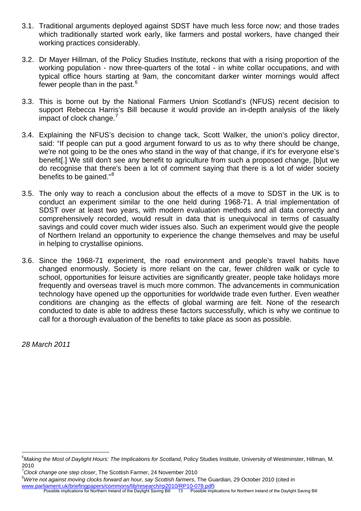- 3.1. Traditional arguments deployed against SDST have much less force now; and those trades which traditionally started work early, like farmers and postal workers, have changed their working practices considerably.
- 3.2. Dr Mayer Hillman, of the Policy Studies Institute, reckons that with a rising proportion of the working population - now three-quarters of the total - in white collar occupations, and with typical office hours starting at 9am, the concomitant darker winter mornings would affect fewer people than in the past.<sup>[6](#page-15-0)</sup>
- 3.3. This is borne out by the National Farmers Union Scotland's (NFUS) recent decision to support Rebecca Harris's Bill because it would provide an in-depth analysis of the likely impact of clock change.<sup>[7](#page-15-1)</sup>
- 3.4. Explaining the NFUS's decision to change tack, Scott Walker, the union's policy director, said: "If people can put a good argument forward to us as to why there should be change, we're not going to be the ones who stand in the way of that change, if it's for everyone else's benefit[.] We still don't see any benefit to agriculture from such a proposed change, [b]ut we do recognise that there's been a lot of comment saying that there is a lot of wider society benefits to be gained."<sup>[8](#page-15-2)</sup>
- 3.5. The only way to reach a conclusion about the effects of a move to SDST in the UK is to conduct an experiment similar to the one held during 1968-71. A trial implementation of SDST over at least two years, with modern evaluation methods and all data correctly and comprehensively recorded, would result in data that is unequivocal in terms of casualty savings and could cover much wider issues also. Such an experiment would give the people of Northern Ireland an opportunity to experience the change themselves and may be useful in helping to crystallise opinions.
- 3.6. Since the 1968-71 experiment, the road environment and people's travel habits have changed enormously. Society is more reliant on the car, fewer children walk or cycle to school, opportunities for leisure activities are significantly greater, people take holidays more frequently and overseas travel is much more common. The advancements in communication technology have opened up the opportunities for worldwide trade even further. Even weather conditions are changing as the effects of global warming are felt. None of the research conducted to date is able to address these factors successfully, which is why we continue to call for a thorough evaluation of the benefits to take place as soon as possible.

*28 March 2011* 

 $\overline{a}$ 

<span id="page-15-2"></span><span id="page-15-1"></span>7 *Clock change one step closer*, The Scottish Farmer, 24 November 2010

<span id="page-15-0"></span><sup>6</sup> *Making the Most of Daylight Hours: The Implications for Scotland*, Policy Studies Institute, University of Westminster, Hillman, M. 2010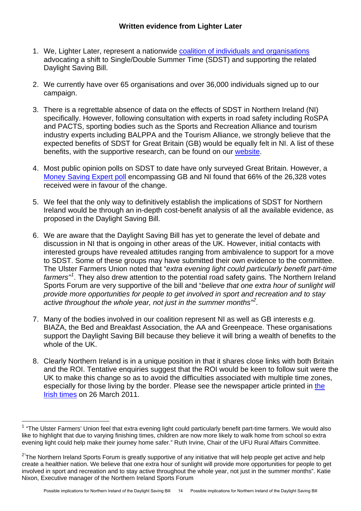- 1. We, Lighter Later, represent a nationwide [coalition of individuals and organisations](http://www.lighterlater.org/who_we_are.html) advocating a shift to Single/Double Summer Time (SDST) and supporting the related Daylight Saving Bill.
- 2. We currently have over 65 organisations and over 36,000 individuals signed up to our campaign.
- 3. There is a regrettable absence of data on the effects of SDST in Northern Ireland (NI) specifically. However, following consultation with experts in road safety including RoSPA and PACTS, sporting bodies such as the Sports and Recreation Alliance and tourism industry experts including BALPPA and the Tourism Alliance, we strongly believe that the expected benefits of SDST for Great Britain (GB) would be equally felt in NI. A list of these benefits, with the supportive research, can be found on our [website](http://www.lighterlater.org/benefits.html).
- 4. Most public opinion polls on SDST to date have only surveyed Great Britain. However, a [Money Saving Expert poll](http://www.moneysavingexpert.com/poll/17-08-2010/should-we-stop-the-clocks-going-back) encompassing GB and NI found that 66% of the 26,328 votes received were in favour of the change.
- 5. We feel that the only way to definitively establish the implications of SDST for Northern Ireland would be through an in-depth cost-benefit analysis of all the available evidence, as proposed in the Daylight Saving Bill.
- 6. We are aware that the Daylight Saving Bill has yet to generate the level of debate and discussion in NI that is ongoing in other areas of the UK. However, initial contacts with interested groups have revealed attitudes ranging from ambivalence to support for a move to SDST. Some of these groups may have submitted their own evidence to the committee. The Ulster Farmers Union noted that "*extra evening light could particularly benefit part-time farmers"[1](#page-16-0) .* They also drew attention to the potential road safety gains. The Northern Ireland Sports Forum are very supportive of the bill and "*believe that one extra hour of sunlight will provide more opportunities for people to get involved in sport and recreation and to stay active throughout the whole year, not just in the summer months"[2](#page-16-1) .*
- 7. Many of the bodies involved in our coalition represent NI as well as GB interests e.g. BIAZA, the Bed and Breakfast Association, the AA and Greenpeace. These organisations support the Daylight Saving Bill because they believe it will bring a wealth of benefits to the whole of the UK.
- 8. Clearly Northern Ireland is in a unique position in that it shares close links with both Britain and the ROI. Tentative enquiries suggest that the ROI would be keen to follow suit were the UK to make this change so as to avoid the difficulties associated with multiple time zones, especially for those living by the border. Please see the newspaper article printed in [the](http://www.irishtimes.com/newspaper/weekend/2011/0326/1224293121730.html)  [Irish times](http://www.irishtimes.com/newspaper/weekend/2011/0326/1224293121730.html) on 26 March 2011.

<span id="page-16-0"></span> $1$  "The Ulster Farmers' Union feel that extra evening light could particularly benefit part-time farmers. We would also like to highlight that due to varying finishing times, children are now more likely to walk home from school so extra evening light could help make their journey home safer." Ruth Irvine, Chair of the UFU Rural Affairs Committee.

<span id="page-16-1"></span><sup>&</sup>lt;sup>2"</sup>The Northern Ireland Sports Forum is greatly supportive of any initiative that will help people get active and help create a healthier nation. We believe that one extra hour of sunlight will provide more opportunities for people to get involved in sport and recreation and to stay active throughout the whole year, not just in the summer months". Katie Nixon, Executive manager of the Northern Ireland Sports Forum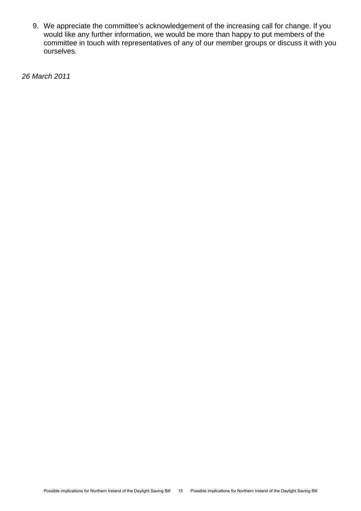9. We appreciate the committee's acknowledgement of the increasing call for change. If you would like any further information, we would be more than happy to put members of the committee in touch with representatives of any of our member groups or discuss it with you ourselves.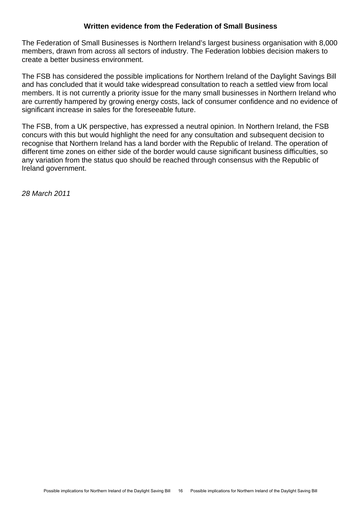#### **Written evidence from the Federation of Small Business**

The Federation of Small Businesses is Northern Ireland's largest business organisation with 8,000 members, drawn from across all sectors of industry. The Federation lobbies decision makers to create a better business environment.

The FSB has considered the possible implications for Northern Ireland of the Daylight Savings Bill and has concluded that it would take widespread consultation to reach a settled view from local members. It is not currently a priority issue for the many small businesses in Northern Ireland who are currently hampered by growing energy costs, lack of consumer confidence and no evidence of significant increase in sales for the foreseeable future.

The FSB, from a UK perspective, has expressed a neutral opinion. In Northern Ireland, the FSB concurs with this but would highlight the need for any consultation and subsequent decision to recognise that Northern Ireland has a land border with the Republic of Ireland. The operation of different time zones on either side of the border would cause significant business difficulties, so any variation from the status quo should be reached through consensus with the Republic of Ireland government.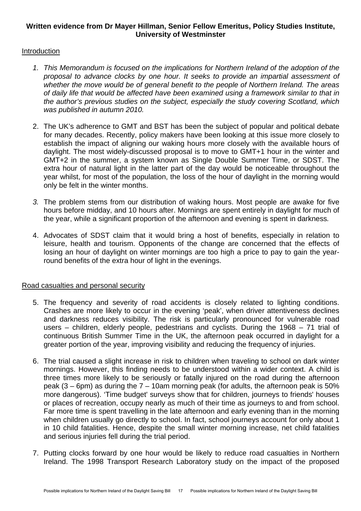#### **Written evidence from Dr Mayer Hillman, Senior Fellow Emeritus, Policy Studies Institute, University of Westminster**

#### Introduction

- *1. This Memorandum is focused on the implications for Northern Ireland of the adoption of the proposal to advance clocks by one hour. It seeks to provide an impartial assessment of whether the move would be of general benefit to the people of Northern Ireland. The areas of daily life that would be affected have been examined using a framework similar to that in the author's previous studies on the subject, especially the study covering Scotland, which was published in autumn 2010.*
- 2. The UK's adherence to GMT and BST has been the subject of popular and political debate for many decades. Recently, policy makers have been looking at this issue more closely to establish the impact of aligning our waking hours more closely with the available hours of daylight. The most widely-discussed proposal is to move to GMT+1 hour in the winter and GMT+2 in the summer, a system known as Single Double Summer Time, or SDST. The extra hour of natural light in the latter part of the day would be noticeable throughout the year whilst, for most of the population, the loss of the hour of daylight in the morning would only be felt in the winter months.
- *3.* The problem stems from our distribution of waking hours. Most people are awake for five hours before midday, and 10 hours after. Mornings are spent entirely in daylight for much of the year, while a significant proportion of the afternoon and evening is spent in darkness*.*
- 4. Advocates of SDST claim that it would bring a host of benefits, especially in relation to leisure, health and tourism. Opponents of the change are concerned that the effects of losing an hour of daylight on winter mornings are too high a price to pay to gain the yearround benefits of the extra hour of light in the evenings.

#### Road casualties and personal security

- 5. The frequency and severity of road accidents is closely related to lighting conditions. Crashes are more likely to occur in the evening 'peak', when driver attentiveness declines and darkness reduces visibility. The risk is particularly pronounced for vulnerable road users – children, elderly people, pedestrians and cyclists. During the 1968 – 71 trial of continuous British Summer Time in the UK, the afternoon peak occurred in daylight for a greater portion of the year, improving visibility and reducing the frequency of injuries.
- 6. The trial caused a slight increase in risk to children when traveling to school on dark winter mornings. However, this finding needs to be understood within a wider context. A child is three times more likely to be seriously or fatally injured on the road during the afternoon peak  $(3 - 6$ pm) as during the  $7 - 10$ am morning peak (for adults, the afternoon peak is 50% more dangerous). 'Time budget' surveys show that for children, journeys to friends' houses or places of recreation, occupy nearly as much of their time as journeys to and from school. Far more time is spent travelling in the late afternoon and early evening than in the morning when children usually go directly to school. In fact, school journeys account for only about 1 in 10 child fatalities. Hence, despite the small winter morning increase, net child fatalities and serious injuries fell during the trial period.
- 7. Putting clocks forward by one hour would be likely to reduce road casualties in Northern Ireland. The 1998 Transport Research Laboratory study on the impact of the proposed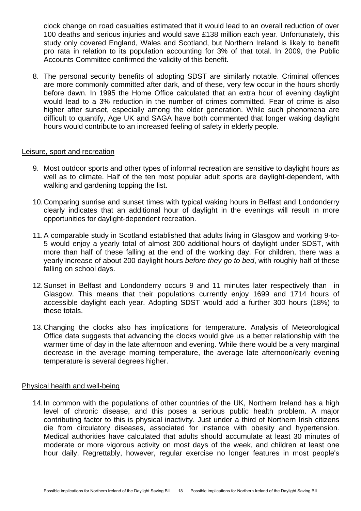clock change on road casualties estimated that it would lead to an overall reduction of over 100 deaths and serious injuries and would save £138 million each year. Unfortunately, this study only covered England, Wales and Scotland, but Northern Ireland is likely to benefit pro rata in relation to its population accounting for 3% of that total. In 2009, the Public Accounts Committee confirmed the validity of this benefit.

8. The personal security benefits of adopting SDST are similarly notable. Criminal offences are more commonly committed after dark, and of these, very few occur in the hours shortly before dawn. In 1995 the Home Office calculated that an extra hour of evening daylight would lead to a 3% reduction in the number of crimes committed. Fear of crime is also higher after sunset, especially among the older generation. While such phenomena are difficult to quantify, Age UK and SAGA have both commented that longer waking daylight hours would contribute to an increased feeling of safety in elderly people.

#### Leisure, sport and recreation

- 9. Most outdoor sports and other types of informal recreation are sensitive to daylight hours as well as to climate. Half of the ten most popular adult sports are daylight-dependent, with walking and gardening topping the list.
- 10. Comparing sunrise and sunset times with typical waking hours in Belfast and Londonderry clearly indicates that an additional hour of daylight in the evenings will result in more opportunities for daylight-dependent recreation.
- 11. A comparable study in Scotland established that adults living in Glasgow and working 9-to-5 would enjoy a yearly total of almost 300 additional hours of daylight under SDST, with more than half of these falling at the end of the working day. For children, there was a yearly increase of about 200 daylight hours *before they go to bed*, with roughly half of these falling on school days.
- 12. Sunset in Belfast and Londonderry occurs 9 and 11 minutes later respectively than in Glasgow. This means that their populations currently enjoy 1699 and 1714 hours of accessible daylight each year. Adopting SDST would add a further 300 hours (18%) to these totals.
- 13. Changing the clocks also has implications for temperature. Analysis of Meteorological Office data suggests that advancing the clocks would give us a better relationship with the warmer time of day in the late afternoon and evening. While there would be a very marginal decrease in the average morning temperature, the average late afternoon/early evening temperature is several degrees higher.

#### Physical health and well-being

14. In common with the populations of other countries of the UK, Northern Ireland has a high level of chronic disease, and this poses a serious public health problem. A major contributing factor to this is physical inactivity. Just under a third of Northern Irish citizens die from circulatory diseases, associated for instance with obesity and hypertension. Medical authorities have calculated that adults should accumulate at least 30 minutes of moderate or more vigorous activity on most days of the week, and children at least one hour daily. Regrettably, however, regular exercise no longer features in most people's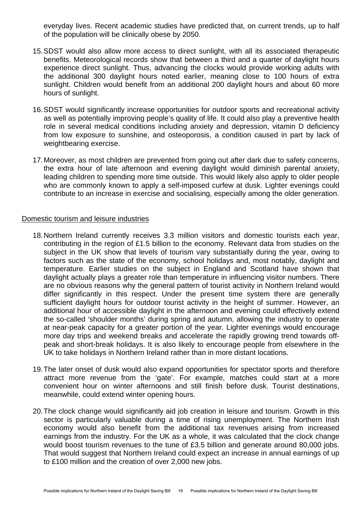everyday lives. Recent academic studies have predicted that, on current trends, up to half of the population will be clinically obese by 2050.

- 15. SDST would also allow more access to direct sunlight, with all its associated therapeutic benefits. Meteorological records show that between a third and a quarter of daylight hours experience direct sunlight. Thus, advancing the clocks would provide working adults with the additional 300 daylight hours noted earlier, meaning close to 100 hours of extra sunlight. Children would benefit from an additional 200 daylight hours and about 60 more hours of sunlight.
- 16. SDST would significantly increase opportunities for outdoor sports and recreational activity as well as potentially improving people's quality of life. It could also play a preventive health role in several medical conditions including anxiety and depression, vitamin D deficiency from low exposure to sunshine, and osteoporosis, a condition caused in part by lack of weightbearing exercise.
- 17. Moreover, as most children are prevented from going out after dark due to safety concerns, the extra hour of late afternoon and evening daylight would diminish parental anxiety, leading children to spending more time outside. This would likely also apply to older people who are commonly known to apply a self-imposed curfew at dusk. Lighter evenings could contribute to an increase in exercise and socialising, especially among the older generation.

#### Domestic tourism and leisure industries

- 18. Northern Ireland currently receives 3.3 million visitors and domestic tourists each year, contributing in the region of £1.5 billion to the economy. Relevant data from studies on the subject in the UK show that levels of tourism vary substantially during the year, owing to factors such as the state of the economy, school holidays and, most notably, daylight and temperature. Earlier studies on the subject in England and Scotland have shown that daylight actually plays a greater role than temperature in influencing visitor numbers. There are no obvious reasons why the general pattern of tourist activity in Northern Ireland would differ significantly in this respect. Under the present time system there are generally sufficient daylight hours for outdoor tourist activity in the height of summer. However, an additional hour of accessible daylight in the afternoon and evening could effectively extend the so-called 'shoulder months' during spring and autumn, allowing the industry to operate at near-peak capacity for a greater portion of the year. Lighter evenings would encourage more day trips and weekend breaks and accelerate the rapidly growing trend towards offpeak and short-break holidays. It is also likely to encourage people from elsewhere in the UK to take holidays in Northern Ireland rather than in more distant locations.
- 19. The later onset of dusk would also expand opportunities for spectator sports and therefore attract more revenue from the 'gate'. For example, matches could start at a more convenient hour on winter afternoons and still finish before dusk. Tourist destinations, meanwhile, could extend winter opening hours.
- 20. The clock change would significantly aid job creation in leisure and tourism. Growth in this sector is particularly valuable during a time of rising unemployment. The Northern Irish economy would also benefit from the additional tax revenues arising from increased earnings from the industry. For the UK as a whole, it was calculated that the clock change would boost tourism revenues to the tune of £3.5 billion and generate around 80,000 jobs. That would suggest that Northern Ireland could expect an increase in annual earnings of up to £100 million and the creation of over 2,000 new jobs.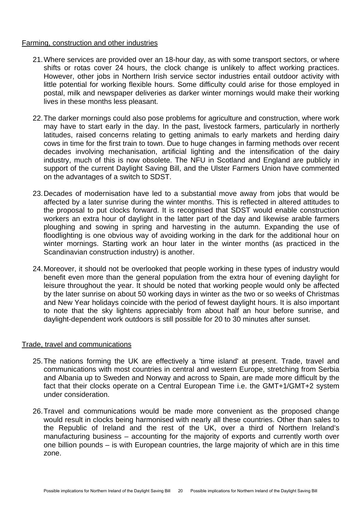#### Farming, construction and other industries

- 21. Where services are provided over an 18-hour day, as with some transport sectors, or where shifts or rotas cover 24 hours, the clock change is unlikely to affect working practices. However, other jobs in Northern Irish service sector industries entail outdoor activity with little potential for working flexible hours. Some difficulty could arise for those employed in postal, milk and newspaper deliveries as darker winter mornings would make their working lives in these months less pleasant.
- 22. The darker mornings could also pose problems for agriculture and construction, where work may have to start early in the day. In the past, livestock farmers, particularly in northerly latitudes, raised concerns relating to getting animals to early markets and herding dairy cows in time for the first train to town. Due to huge changes in farming methods over recent decades involving mechanisation, artificial lighting and the intensification of the dairy industry, much of this is now obsolete. The NFU in Scotland and England are publicly in support of the current Daylight Saving Bill, and the Ulster Farmers Union have commented on the advantages of a switch to SDST.
- 23. Decades of modernisation have led to a substantial move away from jobs that would be affected by a later sunrise during the winter months. This is reflected in altered attitudes to the proposal to put clocks forward. It is recognised that SDST would enable construction workers an extra hour of daylight in the latter part of the day and likewise arable farmers ploughing and sowing in spring and harvesting in the autumn. Expanding the use of floodlighting is one obvious way of avoiding working in the dark for the additional hour on winter mornings. Starting work an hour later in the winter months (as practiced in the Scandinavian construction industry) is another.
- 24. Moreover, it should not be overlooked that people working in these types of industry would benefit even more than the general population from the extra hour of evening daylight for leisure throughout the year. It should be noted that working people would only be affected by the later sunrise on about 50 working days in winter as the two or so weeks of Christmas and New Year holidays coincide with the period of fewest daylight hours. It is also important to note that the sky lightens appreciably from about half an hour before sunrise, and daylight-dependent work outdoors is still possible for 20 to 30 minutes after sunset.

#### Trade, travel and communications

- 25. The nations forming the UK are effectively a 'time island' at present. Trade, travel and communications with most countries in central and western Europe, stretching from Serbia and Albania up to Sweden and Norway and across to Spain, are made more difficult by the fact that their clocks operate on a Central European Time i.e. the GMT+1/GMT+2 system under consideration.
- 26. Travel and communications would be made more convenient as the proposed change would result in clocks being harmonised with nearly all these countries. Other than sales to the Republic of Ireland and the rest of the UK, over a third of Northern Ireland's manufacturing business – accounting for the majority of exports and currently worth over one billion pounds – is with European countries, the large majority of which are in this time zone.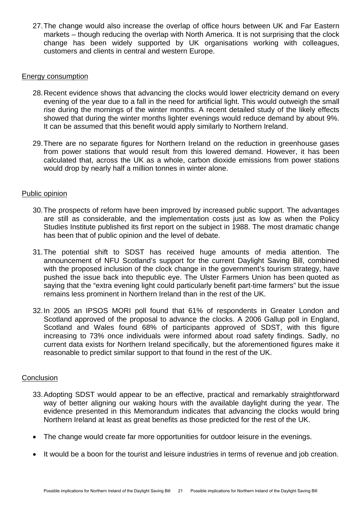27. The change would also increase the overlap of office hours between UK and Far Eastern markets – though reducing the overlap with North America. It is not surprising that the clock change has been widely supported by UK organisations working with colleagues, customers and clients in central and western Europe.

#### Energy consumption

- 28. Recent evidence shows that advancing the clocks would lower electricity demand on every evening of the year due to a fall in the need for artificial light. This would outweigh the small rise during the mornings of the winter months. A recent detailed study of the likely effects showed that during the winter months lighter evenings would reduce demand by about 9%. It can be assumed that this benefit would apply similarly to Northern Ireland.
- 29. There are no separate figures for Northern Ireland on the reduction in greenhouse gases from power stations that would result from this lowered demand. However, it has been calculated that, across the UK as a whole, carbon dioxide emissions from power stations would drop by nearly half a million tonnes in winter alone.

#### Public opinion

- 30. The prospects of reform have been improved by increased public support. The advantages are still as considerable, and the implementation costs just as low as when the Policy Studies Institute published its first report on the subject in 1988. The most dramatic change has been that of public opinion and the level of debate.
- 31. The potential shift to SDST has received huge amounts of media attention. The announcement of NFU Scotland's support for the current Daylight Saving Bill, combined with the proposed inclusion of the clock change in the government's tourism strategy, have pushed the issue back into thepublic eye. The Ulster Farmers Union has been quoted as saying that the "extra evening light could particularly benefit part-time farmers" but the issue remains less prominent in Northern Ireland than in the rest of the UK.
- 32. In 2005 an IPSOS MORI poll found that 61% of respondents in Greater London and Scotland approved of the proposal to advance the clocks. A 2006 Gallup poll in England, Scotland and Wales found 68% of participants approved of SDST, with this figure increasing to 73% once individuals were informed about road safety findings. Sadly, no current data exists for Northern Ireland specifically, but the aforementioned figures make it reasonable to predict similar support to that found in the rest of the UK.

#### **Conclusion**

- 33. Adopting SDST would appear to be an effective, practical and remarkably straightforward way of better aligning our waking hours with the available daylight during the year. The evidence presented in this Memorandum indicates that advancing the clocks would bring Northern Ireland at least as great benefits as those predicted for the rest of the UK.
- The change would create far more opportunities for outdoor leisure in the evenings.
- It would be a boon for the tourist and leisure industries in terms of revenue and job creation.